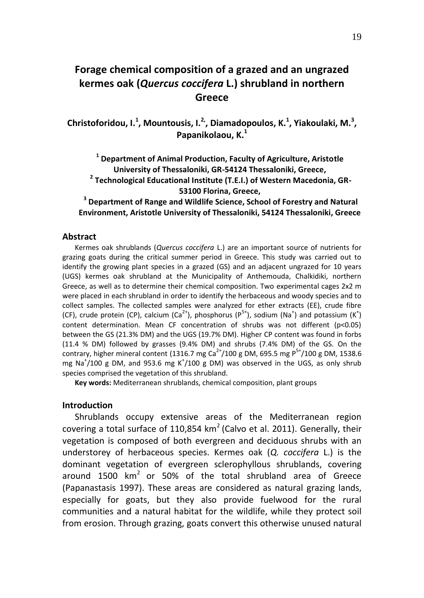# **Forage chemical composition of a grazed and an ungrazed kermes oak (***Quercus coccifera* **L.) shrubland in northern Greece**

**Christoforidou, I.<sup>1</sup> , Mountousis, I.2,, Diamadopoulos, K.<sup>1</sup> , Yiakoulaki, M.<sup>3</sup> , Papanikolaou, K.<sup>1</sup>**

**1 Department of Animal Production, Faculty of Agriculture, Aristotle University of Thessaloniki, GR-54124 Thessaloniki, Greece, 2 Technological Educational Institute (T.E.I.) of Western Macedonia, GR-**

**53100 Florina, Greece,**

**3 Department of Range and Wildlife Science, School of Forestry and Natural Environment, Aristotle University of Thessaloniki, 54124 Thessaloniki, Greece**

#### **Abstract**

Kermes oak shrublands (*Quercus coccifera* L.) are an important source of nutrients for grazing goats during the critical summer period in Greece. This study was carried out to identify the growing plant species in a grazed (GS) and an adjacent ungrazed for 10 years (UGS) kermes oak shrubland at the Municipality of Anthemouda, Chalkidiki, northern Greece, as well as to determine their chemical composition. Two experimental cages 2x2 m were placed in each shrubland in order to identify the herbaceous and woody species and to collect samples. The collected samples were analyzed for ether extracts (EE), crude fibre (CF), crude protein (CP), calcium (Ca<sup>2+</sup>), phosphorus (P<sup>5+</sup>), sodium (Na<sup>+</sup>) and potassium (K<sup>+</sup>) content determination. Mean CF concentration of shrubs was not different (p<0.05) between the GS (21.3% DM) and the UGS (19.7% DM). Higher CP content was found in forbs (11.4 % DM) followed by grasses (9.4% DM) and shrubs (7.4% DM) of the GS. On the contrary, higher mineral content (1316.7 mg Ca<sup>2+</sup>/100 g DM, 695.5 mg P<sup>5+</sup>/100 g DM, 1538.6 mg Na<sup>+</sup>/100 g DM, and 953.6 mg K<sup>+</sup>/100 g DM) was observed in the UGS, as only shrub species comprised the vegetation of this shrubland.

**Key words:** Mediterranean shrublands, chemical composition, plant groups

## **Introduction**

Shrublands occupy extensive areas of the Mediterranean region covering a total surface of 110,854  $km^2$  (Calvo et al. 2011). Generally, their vegetation is composed of both evergreen and deciduous shrubs with an understorey of herbaceous species. Kermes oak (*Q. coccifera* L.) is the dominant vegetation of evergreen sclerophyllous shrublands, covering around 1500  $km^2$  or 50% of the total shrubland area of Greece (Papanastasis 1997). These areas are considered as natural grazing lands, especially for goats, but they also provide fuelwood for the rural communities and a natural habitat for the wildlife, while they protect soil from erosion. Through grazing, goats convert this otherwise unused natural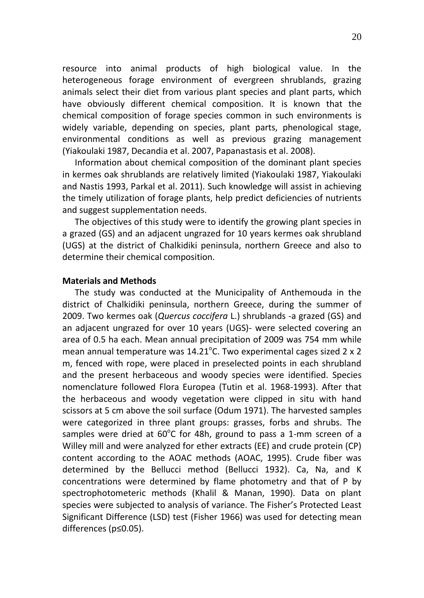resource into animal products of high biological value. In the heterogeneous forage environment of evergreen shrublands, grazing animals select their diet from various plant species and plant parts, which have obviously different chemical composition. It is known that the chemical composition of forage species common in such environments is widely variable, depending on species, plant parts, phenological stage, environmental conditions as well as previous grazing management (Yiakoulaki 1987, Decandia et al. 2007, Papanastasis et al. 2008).

Information about chemical composition of the dominant plant species in kermes oak shrublands are relatively limited (Yiakoulaki 1987, Yiakoulaki and Nastis 1993, Parkal et al. 2011). Such knowledge will assist in achieving the timely utilization of forage plants, help predict deficiencies of nutrients and suggest supplementation needs.

The objectives of this study were to identify the growing plant species in a grazed (GS) and an adjacent ungrazed for 10 years kermes oak shrubland (UGS) at the district of Chalkidiki peninsula, northern Greece and also to determine their chemical composition.

## **Materials and Methods**

The study was conducted at the Municipality of Anthemouda in the district of Chalkidiki peninsula, northern Greece, during the summer of 2009. Two kermes oak (*Quercus coccifera* L.) shrublands -a grazed (GS) and an adjacent ungrazed for over 10 years (UGS)- were selected covering an area of 0.5 ha each. Mean annual precipitation of 2009 was 754 mm while mean annual temperature was  $14.21^{\circ}$ C. Two experimental cages sized 2 x 2 m, fenced with rope, were placed in preselected points in each shrubland and the present herbaceous and woody species were identified. Species nomenclature followed Flora Europea (Tutin et al. 1968-1993). After that the herbaceous and woody vegetation were clipped in situ with hand scissors at 5 cm above the soil surface (Odum 1971). The harvested samples were categorized in three plant groups: grasses, forbs and shrubs. The samples were dried at  $60^{\circ}$ C for 48h, ground to pass a 1-mm screen of a Willey mill and were analyzed for ether extracts (EE) and crude protein (CP) content according to the AOAC methods (AOAC, 1995). Crude fiber was determined by the Bellucci method (Bellucci 1932). Ca, Na, and K concentrations were determined by flame photometry and that of P by spectrophotometeric methods (Khalil & Manan, 1990). Data on plant species were subjected to analysis of variance. The Fisher's Protected Least Significant Difference (LSD) test (Fisher 1966) was used for detecting mean differences (p≤0.05).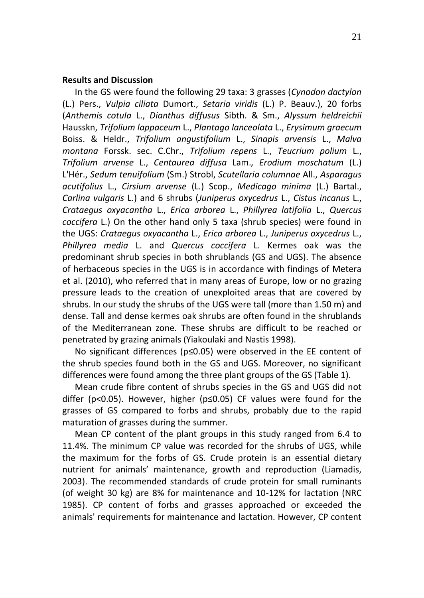# **Results and Discussion**

In the GS were found the following 29 taxa: 3 grasses (*Cynodon dactylon*  (L.) Pers., *Vulpia ciliata* Dumort., *Setaria viridis* (L.) P. Beauv.), 20 forbs (*Anthemis cotula* L., *Dianthus diffusus* Sibth. & Sm., *Alyssum heldreichii*  Hausskn, *Trifolium lappaceum* L., *Plantago lanceolata* L., *Erysimum graecum*  Boiss. & Heldr., *Trifolium angustifolium* L., *Sinapis arvensis* L., *Malva montana* Forssk. sec. C.Chr., *Trifolium repens* L., *Teucrium polium* L., *Trifolium arvense* L., *Centaurea diffusa* Lam.*, Erodium moschatum* (L.) L'Hér., *Sedum tenuifolium* (Sm.) Strobl, *Scutellaria columnae* All., *Asparagus acutifolius* L., *Cirsium arvense* (L.) Scop., *Medicago minima* (L.) Bartal., *Carlina vulgaris* L.) and 6 shrubs (*Juniperus oxycedrus* L., *Cistus incanus* L., *Crataegus oxyacantha* L., *Erica arborea* L., *Phillyrea latifolia* L., *Quercus coccifera* L.) On the other hand only 5 taxa (shrub species) were found in the UGS: *Crataegus oxyacantha* L., *Erica arborea* L., *Juniperus oxycedrus* L., *Phillyrea media* L. and *Quercus coccifera* L. Kermes oak was the predominant shrub species in both shrublands (GS and UGS). The absence of herbaceous species in the UGS is in accordance with findings of Metera et al. (2010), who referred that in many areas of Europe, low or no grazing pressure leads to the creation of unexploited areas that are covered by shrubs. In our study the shrubs of the UGS were tall (more than 1.50 m) and dense. Tall and dense kermes oak shrubs are often found in the shrublands of the Mediterranean zone. These shrubs are difficult to be reached or penetrated by grazing animals (Yiakoulaki and Nastis 1998).

No significant differences (p≤0.05) were observed in the EE content of the shrub species found both in the GS and UGS. Moreover, no significant differences were found among the three plant groups of the GS (Table 1).

Mean crude fibre content of shrubs species in the GS and UGS did not differ (p<0.05). However, higher (p≤0.05) CF values were found for the grasses of GS compared to forbs and shrubs, probably due to the rapid maturation of grasses during the summer.

Mean CP content of the plant groups in this study ranged from 6.4 to 11.4%. The minimum CP value was recorded for the shrubs of UGS, while the maximum for the forbs of GS. Crude protein is an essential dietary nutrient for animals' maintenance, growth and reproduction (Liamadis, 2003). The recommended standards of crude protein for small ruminants (of weight 30 kg) are 8% for maintenance and 10-12% for lactation (NRC 1985). CP content of forbs and grasses approached or exceeded the animals' requirements for maintenance and lactation. However, CP content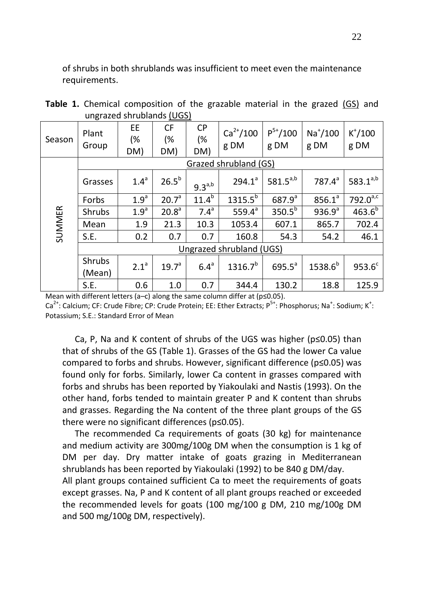of shrubs in both shrublands was insufficient to meet even the maintenance requirements.

| angraeca sin abianas <u>(000)</u> |                          |                  |                        |                        |                       |                      |                    |                    |
|-----------------------------------|--------------------------|------------------|------------------------|------------------------|-----------------------|----------------------|--------------------|--------------------|
| Season                            | Plant<br>Group           | EE<br>(%<br>DM)  | <b>CF</b><br>(%<br>DM) | <b>CP</b><br>(%<br>DM) | $Ca^{2+}/100$<br>g DM | $P^{5+}/100$<br>g DM | $Na+/100$<br>g DM  | $K^*/100$<br>g DM  |
|                                   | Grazed shrubland (GS)    |                  |                        |                        |                       |                      |                    |                    |
| <b>SUMMER</b>                     | Grasses                  | 1.4 <sup>a</sup> | $26.5^b$               | $9.3^{a,b}$            | $294.1^a$             | $581.5^{a,b}$        | $787.4^{a}$        | $583.1^{a,b}$      |
|                                   | Forbs                    | 1.9 <sup>a</sup> | 20.7 <sup>a</sup>      | 11.4 <sup>b</sup>      | $1315.5^{b}$          | $687.9^{a}$          | 856.1 <sup>a</sup> | $792.0^{a,c}$      |
|                                   | Shrubs                   | 1.9 <sup>a</sup> | 20.8 <sup>a</sup>      | 7.4 <sup>a</sup>       | 559.4 $a$             | $350.5^{b}$          | 936.9 <sup>a</sup> | $463.6^{b}$        |
|                                   | Mean                     | 1.9              | 21.3                   | 10.3                   | 1053.4                | 607.1                | 865.7              | 702.4              |
|                                   | S.E.                     | 0.2              | 0.7                    | 0.7                    | 160.8                 | 54.3                 | 54.2               | 46.1               |
|                                   | Ungrazed shrubland (UGS) |                  |                        |                        |                       |                      |                    |                    |
|                                   | Shrubs<br>(Mean)         | 2.1 <sup>a</sup> | 19.7 <sup>a</sup>      | 6.4 <sup>a</sup>       | $1316.7^{b}$          | $695.5^a$            | $1538.6^{b}$       | 953.6 <sup>c</sup> |
|                                   | S.E.                     | 0.6              | 1.0                    | 0.7                    | 344.4                 | 130.2                | 18.8               | 125.9              |

**Table 1.** Chemical composition of the grazable material in the grazed (GS) and ungrazed shrublands (UGS)

Mean with different letters (a–c) along the same column differ at (p≤0.05).

Ca<sup>2+</sup>: Calcium; CF: Crude Fibre; CP: Crude Protein; EE: Ether Extracts; P<sup>5+</sup>: Phosphorus; Na<sup>+</sup>: Sodium; K<sup>+</sup>: Potassium; S.E.: Standard Error of Mean

Ca, P, Na and K content of shrubs of the UGS was higher (p≤0.05) than that of shrubs of the GS (Table 1). Grasses of the GS had the lower Ca value compared to forbs and shrubs. However, significant difference (p≤0.05) was found only for forbs. Similarly, lower Ca content in grasses compared with forbs and shrubs has been reported by Yiakoulaki and Nastis (1993). On the other hand, forbs tended to maintain greater P and K content than shrubs and grasses. Regarding the Na content of the three plant groups of the GS there were no significant differences (p≤0.05).

The recommended Ca requirements of goats (30 kg) for maintenance and medium activity are 300mg/100g DM when the consumption is 1 kg of DM per day. Dry matter intake of goats grazing in Mediterranean shrublands has been reported by Yiakoulaki (1992) to be 840 g DM/day.

All plant groups contained sufficient Ca to meet the requirements of goats except grasses. Na, P and K content of all plant groups reached or exceeded the recommended levels for goats (100 mg/100 g DM, 210 mg/100g DM and 500 mg/100g DM, respectively).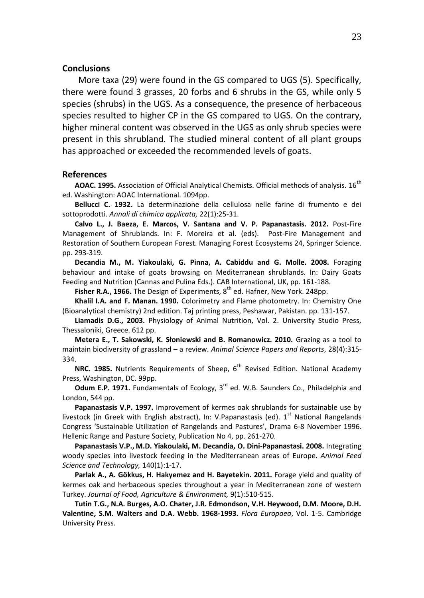#### **Conclusions**

More taxa (29) were found in the GS compared to UGS (5). Specifically, there were found 3 grasses, 20 forbs and 6 shrubs in the GS, while only 5 species (shrubs) in the UGS. As a consequence, the presence of herbaceous species resulted to higher CP in the GS compared to UGS. On the contrary, higher mineral content was observed in the UGS as only shrub species were present in this shrubland. The studied mineral content of all plant groups has approached or exceeded the recommended levels of goats.

#### **References**

**AOAC. 1995.** Association of Official Analytical Chemists. Official methods of analysis. 16th ed. Washington: AOAC International. 1094pp.

**Bellucci C. 1932.** La determinazione della cellulosa nelle farine di frumento e dei sottoprodotti. *Annali di chimica applicata,* 22(1):25-31.

**Calvo L., J. Baeza, E. Marcos, V. Santana and V. P. Papanastasis. 2012.** Post-Fire Management of Shrublands. In: F. Moreira et al. (eds). Post-Fire Management and Restoration of Southern European Forest. Managing Forest Ecosystems 24, Springer Science. pp. 293-319.

**Decandia M., M. Yiakoulaki, G. Pinna, A. Cabiddu and G. Molle. 2008.** Foraging behaviour and intake of goats browsing on Mediterranean shrublands. In: Dairy Goats Feeding and Nutrition (Cannas and Pulina Eds.). CAB International, UK, pp. 161-188.

**Fisher R.A., 1966.** The Design of Experiments, 8<sup>th</sup> ed. Hafner, New York. 248pp.

**Khalil I.A. and F. Manan. 1990.** Colorimetry and Flame photometry. In: Chemistry One (Bioanalytical chemistry) 2nd edition. Taj printing press, Peshawar, Pakistan. pp. 131-157.

**Liamadis D.G., 2003.** Physiology of Animal Nutrition, Vol. 2. University Studio Press, Thessaloniki, Greece. 612 pp.

**Metera E., T. Sakowski, K. Słoniewski and B. Romanowicz. 2010.** Grazing as a tool to maintain biodiversity of grassland – a review. *Animal Science Papers and Reports*, 28(4):315- 334.

**NRC. 1985.** Nutrients Requirements of Sheep, 6<sup>th</sup> Revised Edition. National Academy Press, Washington, DC. 99pp.

**Odum E.P. 1971.** Fundamentals of Ecology, 3<sup>rd</sup> ed. W.B. Saunders Co., Philadelphia and London, 544 pp.

**Papanastasis V.P. 1997.** Improvement of kermes oak shrublands for sustainable use by livestock (in Greek with English abstract), In: V.Papanastasis (ed). 1<sup>st</sup> National Rangelands Congress 'Sustainable Utilization of Rangelands and Pastures', Drama 6-8 November 1996. Hellenic Range and Pasture Society, Publication No 4, pp. 261-270.

**Papanastasis V.P., M.D. Yiakoulaki, M. Decandia, O. Dini-Papanastasi. 2008.** Integrating woody species into livestock feeding in the Mediterranean areas of Europe. *Animal Feed Science and Technology,* 140(1):1-17.

**Parlak A., A. Gökkus, H. Hakyemez and H. Bayetekin. 2011.** Forage yield and quality of kermes oak and herbaceous species throughout a year in Mediterranean zone of western Turkey. *Journal of Food, Agriculture & Environment,* 9(1):510-515.

**Tutin T.G., N.A. Burges, A.O. Chater, J.R. Edmondson, V.H. Heywood, D.M. Moore, D.H. Valentine, S.M. Walters and D.A. Webb. 1968-1993.** *Flora Europaea*, Vol. 1-5. Cambridge University Press.